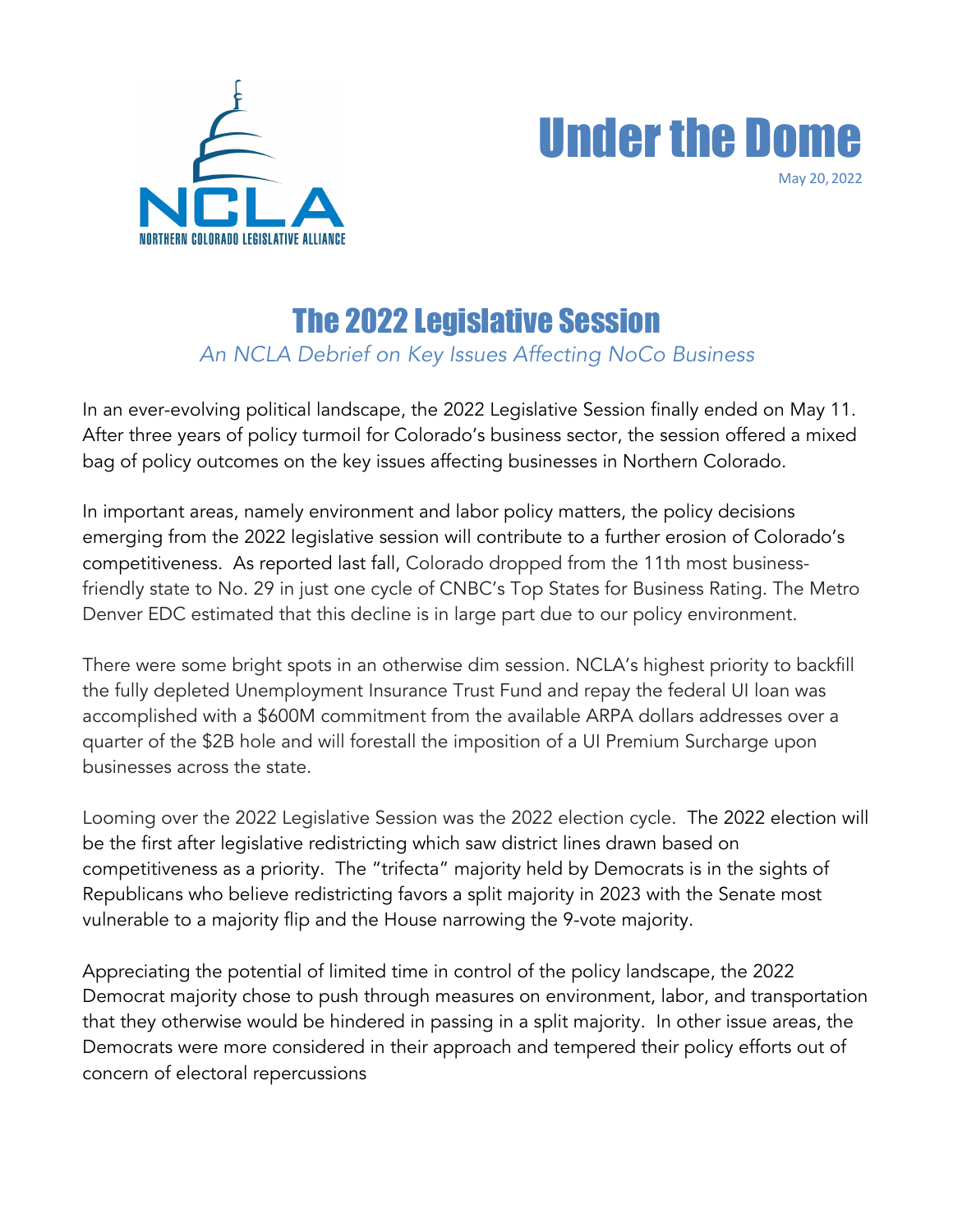



# The 2022 Legislative Session

*An NCLA Debrief on Key Issues Affecting NoCo Business*

In an ever-evolving political landscape, the 2022 Legislative Session finally ended on May 11. After three years of policy turmoil for Colorado's business sector, the session offered a mixed bag of policy outcomes on the key issues affecting businesses in Northern Colorado.

In important areas, namely environment and labor policy matters, the policy decisions emerging from the 2022 legislative session will contribute to a further erosion of Colorado's competitiveness. As reported last fall, Colorado dropped from the 11th most businessfriendly state to No. 29 in just one cycle of CNBC's Top States for Business Rating. The Metro Denver EDC estimated that this decline is in large part due to our policy environment.

There were some bright spots in an otherwise dim session. NCLA's highest priority to backfill the fully depleted Unemployment Insurance Trust Fund and repay the federal UI loan was accomplished with a \$600M commitment from the available ARPA dollars addresses over a quarter of the \$2B hole and will forestall the imposition of a UI Premium Surcharge upon businesses across the state.

Looming over the 2022 Legislative Session was the 2022 election cycle. The 2022 election will be the first after legislative redistricting which saw district lines drawn based on competitiveness as a priority. The "trifecta" majority held by Democrats is in the sights of Republicans who believe redistricting favors a split majority in 2023 with the Senate most vulnerable to a majority flip and the House narrowing the 9-vote majority.

Appreciating the potential of limited time in control of the policy landscape, the 2022 Democrat majority chose to push through measures on environment, labor, and transportation that they otherwise would be hindered in passing in a split majority. In other issue areas, the Democrats were more considered in their approach and tempered their policy efforts out of concern of electoral repercussions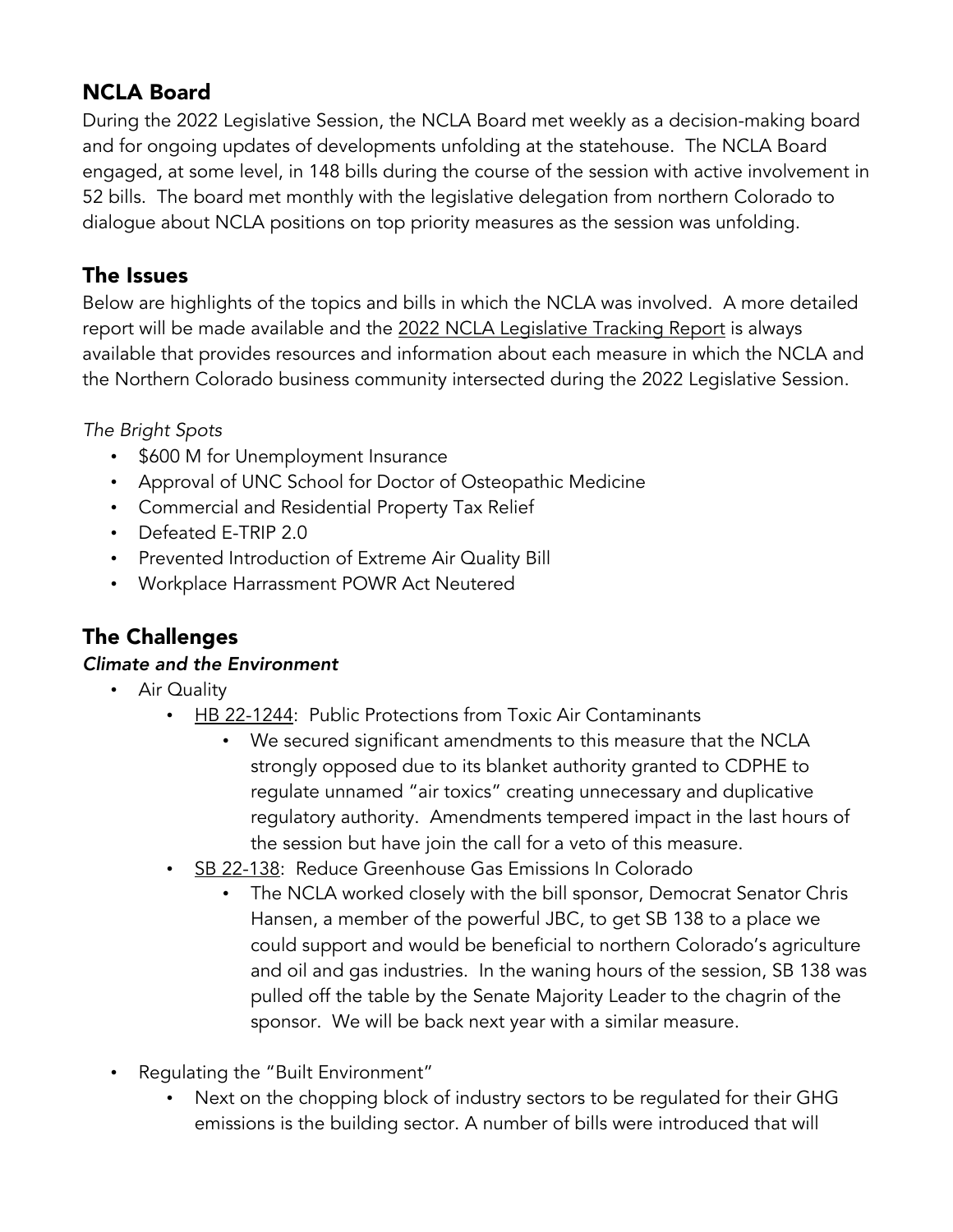# NCLA Board

During the 2022 Legislative Session, the NCLA Board met weekly as a decision-making board and for ongoing updates of developments unfolding at the statehouse. The NCLA Board engaged, at some level, in 148 bills during the course of the session with active involvement in 52 bills. The board met monthly with the legislative delegation from northern Colorado to dialogue about NCLA positions on top priority measures as the session was unfolding.

# The Issues

Below are highlights of the topics and bills in which the NCLA was involved. A more detailed report will be made available and the 2022 NCLA Legislative Tracking Report is always available that provides resources and information about each measure in which the NCLA and the Northern Colorado business community intersected during the 2022 Legislative Session.

*The Bright Spots*

- \$600 M for Unemployment Insurance
- Approval of UNC School for Doctor of Osteopathic Medicine
- Commercial and Residential Property Tax Relief
- Defeated E-TRIP 2.0
- Prevented Introduction of Extreme Air Quality Bill
- Workplace Harrassment POWR Act Neutered

# The Challenges

#### *Climate and the Environment*

- Air Quality
	- HB 22-1244: Public Protections from Toxic Air Contaminants
		- We secured significant amendments to this measure that the NCLA strongly opposed due to its blanket authority granted to CDPHE to regulate unnamed "air toxics" creating unnecessary and duplicative regulatory authority. Amendments tempered impact in the last hours of the session but have join the call for a veto of this measure.
	- SB 22-138: Reduce Greenhouse Gas Emissions In Colorado
		- The NCLA worked closely with the bill sponsor, Democrat Senator Chris Hansen, a member of the powerful JBC, to get SB 138 to a place we could support and would be beneficial to northern Colorado's agriculture and oil and gas industries. In the waning hours of the session, SB 138 was pulled off the table by the Senate Majority Leader to the chagrin of the sponsor. We will be back next year with a similar measure.
- Regulating the "Built Environment"
	- Next on the chopping block of industry sectors to be regulated for their GHG emissions is the building sector. A number of bills were introduced that will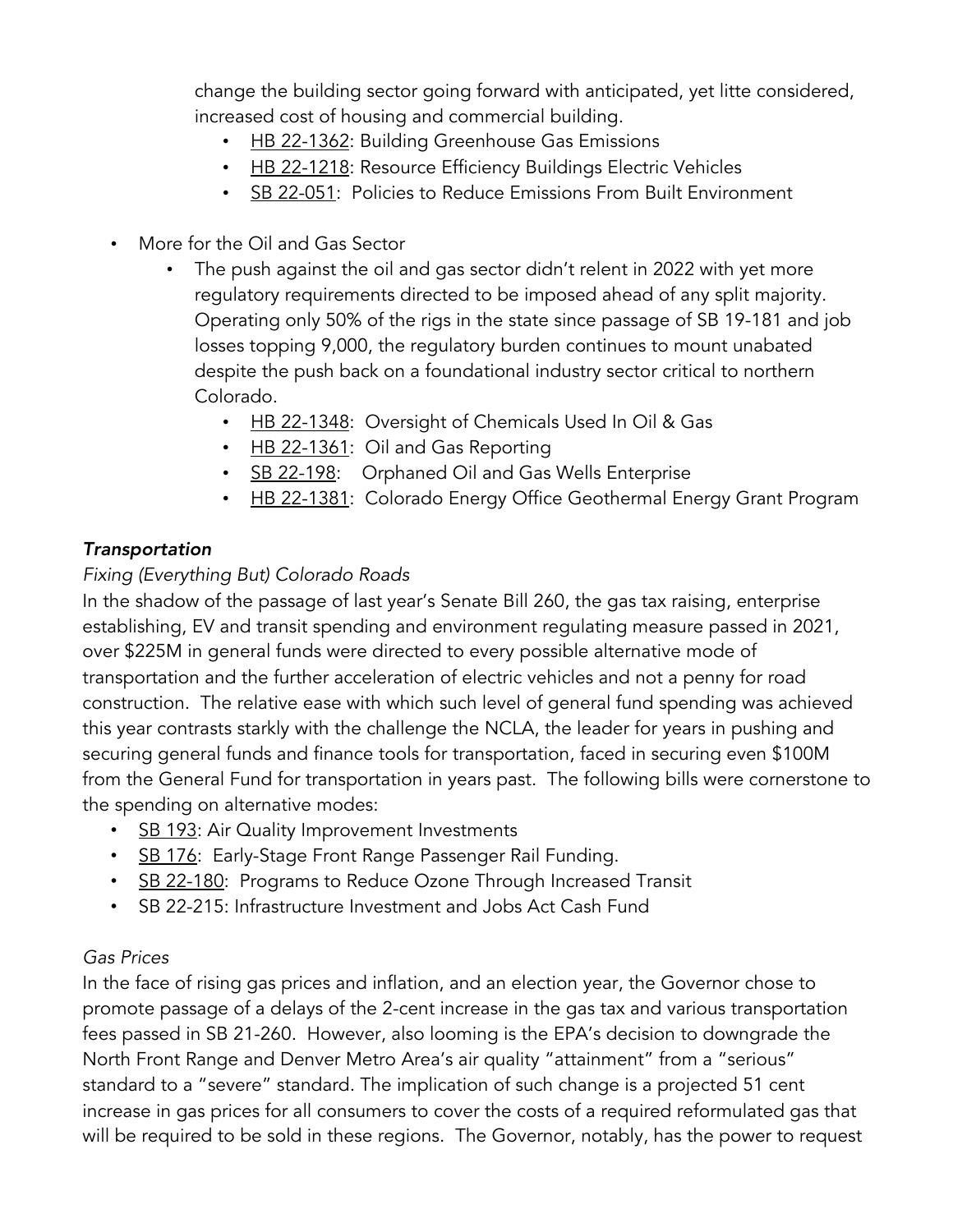change the building sector going forward with anticipated, yet litte considered, increased cost of housing and commercial building.

- HB 22-1362: Building Greenhouse Gas Emissions
- HB 22-1218: Resource Efficiency Buildings Electric Vehicles
- SB 22-051: Policies to Reduce Emissions From Built Environment
- More for the Oil and Gas Sector
	- The push against the oil and gas sector didn't relent in 2022 with yet more regulatory requirements directed to be imposed ahead of any split majority. Operating only 50% of the rigs in the state since passage of SB 19-181 and job losses topping 9,000, the regulatory burden continues to mount unabated despite the push back on a foundational industry sector critical to northern Colorado.
		- HB 22-1348: Oversight of Chemicals Used In Oil & Gas
		- HB 22-1361: Oil and Gas Reporting
		- SB 22-198: Orphaned Oil and Gas Wells Enterprise
		- HB 22-1381: Colorado Energy Office Geothermal Energy Grant Program

#### *Transportation*

#### *Fixing (Everything But) Colorado Roads*

In the shadow of the passage of last year's Senate Bill 260, the gas tax raising, enterprise establishing, EV and transit spending and environment regulating measure passed in 2021, over \$225M in general funds were directed to every possible alternative mode of transportation and the further acceleration of electric vehicles and not a penny for road construction. The relative ease with which such level of general fund spending was achieved this year contrasts starkly with the challenge the NCLA, the leader for years in pushing and securing general funds and finance tools for transportation, faced in securing even \$100M from the General Fund for transportation in years past. The following bills were cornerstone to the spending on alternative modes:

- SB 193: Air Quality Improvement Investments
- SB 176: Early-Stage Front Range Passenger Rail Funding.
- SB 22-180: Programs to Reduce Ozone Through Increased Transit
- SB 22-215: Infrastructure Investment and Jobs Act Cash Fund

#### *Gas Prices*

In the face of rising gas prices and inflation, and an election year, the Governor chose to promote passage of a delays of the 2-cent increase in the gas tax and various transportation fees passed in SB 21-260. However, also looming is the EPA's decision to downgrade the North Front Range and Denver Metro Area's air quality "attainment" from a "serious" standard to a "severe" standard. The implication of such change is a projected 51 cent increase in gas prices for all consumers to cover the costs of a required reformulated gas that will be required to be sold in these regions. The Governor, notably, has the power to request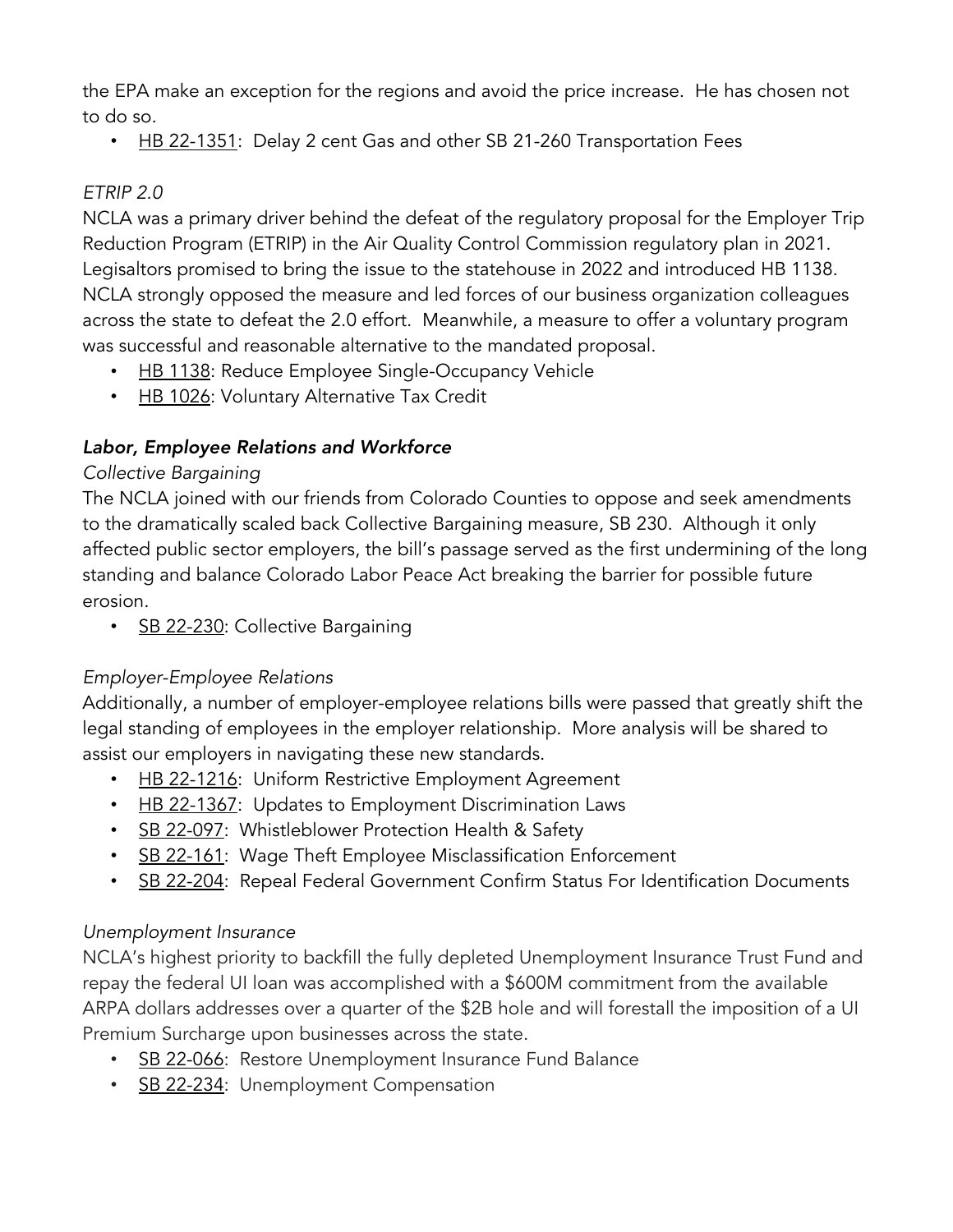the EPA make an exception for the regions and avoid the price increase. He has chosen not to do so.

• HB 22-1351: Delay 2 cent Gas and other SB 21-260 Transportation Fees

#### *ETRIP 2.0*

NCLA was a primary driver behind the defeat of the regulatory proposal for the Employer Trip Reduction Program (ETRIP) in the Air Quality Control Commission regulatory plan in 2021. Legisaltors promised to bring the issue to the statehouse in 2022 and introduced HB 1138. NCLA strongly opposed the measure and led forces of our business organization colleagues across the state to defeat the 2.0 effort. Meanwhile, a measure to offer a voluntary program was successful and reasonable alternative to the mandated proposal.

- HB 1138: Reduce Employee Single-Occupancy Vehicle
- HB 1026: Voluntary Alternative Tax Credit

# *Labor, Employee Relations and Workforce*

#### *Collective Bargaining*

The NCLA joined with our friends from Colorado Counties to oppose and seek amendments to the dramatically scaled back Collective Bargaining measure, SB 230. Although it only affected public sector employers, the bill's passage served as the first undermining of the long standing and balance Colorado Labor Peace Act breaking the barrier for possible future erosion.

SB 22-230: Collective Bargaining

# *Employer-Employee Relations*

Additionally, a number of employer-employee relations bills were passed that greatly shift the legal standing of employees in the employer relationship. More analysis will be shared to assist our employers in navigating these new standards.

- HB 22-1216: Uniform Restrictive Employment Agreement
- HB 22-1367: Updates to Employment Discrimination Laws
- SB 22-097: Whistleblower Protection Health & Safety
- SB 22-161: Wage Theft Employee Misclassification Enforcement
- SB 22-204: Repeal Federal Government Confirm Status For Identification Documents

# *Unemployment Insurance*

NCLA's highest priority to backfill the fully depleted Unemployment Insurance Trust Fund and repay the federal UI loan was accomplished with a \$600M commitment from the available ARPA dollars addresses over a quarter of the \$2B hole and will forestall the imposition of a UI Premium Surcharge upon businesses across the state.

- SB 22-066: Restore Unemployment Insurance Fund Balance
- SB 22-234: Unemployment Compensation